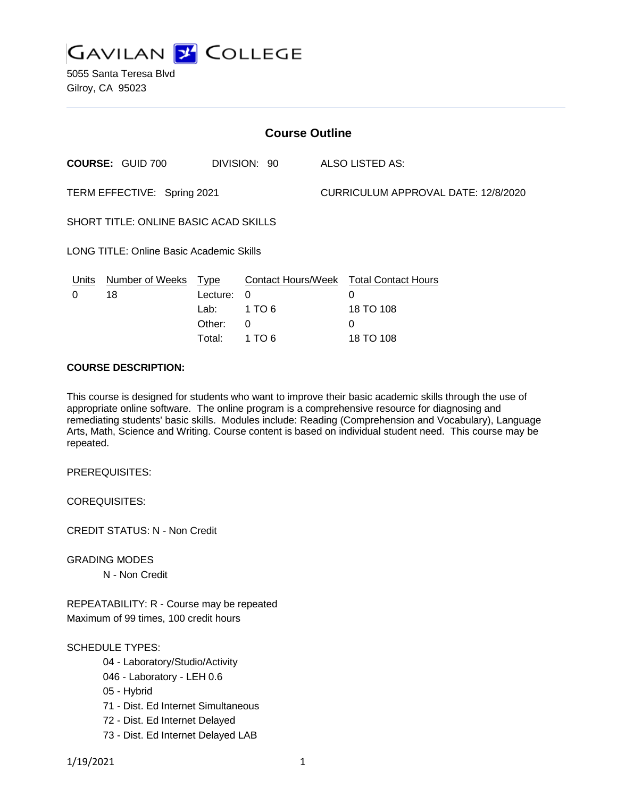

5055 Santa Teresa Blvd Gilroy, CA 95023

| <b>Course Outline</b>                           |                              |                                 |              |                                     |                                                          |
|-------------------------------------------------|------------------------------|---------------------------------|--------------|-------------------------------------|----------------------------------------------------------|
|                                                 | <b>COURSE: GUID 700</b>      |                                 | DIVISION: 90 |                                     | ALSO LISTED AS:                                          |
| TERM EFFECTIVE: Spring 2021                     |                              |                                 |              | CURRICULUM APPROVAL DATE: 12/8/2020 |                                                          |
| SHORT TITLE: ONLINE BASIC ACAD SKILLS           |                              |                                 |              |                                     |                                                          |
| <b>LONG TITLE: Online Basic Academic Skills</b> |                              |                                 |              |                                     |                                                          |
| Units<br>0                                      | <b>Number of Weeks</b><br>18 | <u>Type</u><br>Lecture:<br>Lab: | 0<br>1 TO 6  |                                     | Contact Hours/Week Total Contact Hours<br>0<br>18 TO 108 |
|                                                 |                              | Other:                          | 0            |                                     | 0                                                        |

Total: 1 TO 6 18 TO 108

#### **COURSE DESCRIPTION:**

This course is designed for students who want to improve their basic academic skills through the use of appropriate online software. The online program is a comprehensive resource for diagnosing and remediating students' basic skills. Modules include: Reading (Comprehension and Vocabulary), Language Arts, Math, Science and Writing. Course content is based on individual student need. This course may be repeated.

PREREQUISITES:

COREQUISITES:

CREDIT STATUS: N - Non Credit

GRADING MODES N - Non Credit

REPEATABILITY: R - Course may be repeated Maximum of 99 times, 100 credit hours

# SCHEDULE TYPES:

- 04 Laboratory/Studio/Activity
- 046 Laboratory LEH 0.6
- 05 Hybrid
- 71 Dist. Ed Internet Simultaneous
- 72 Dist. Ed Internet Delayed
- 73 Dist. Ed Internet Delayed LAB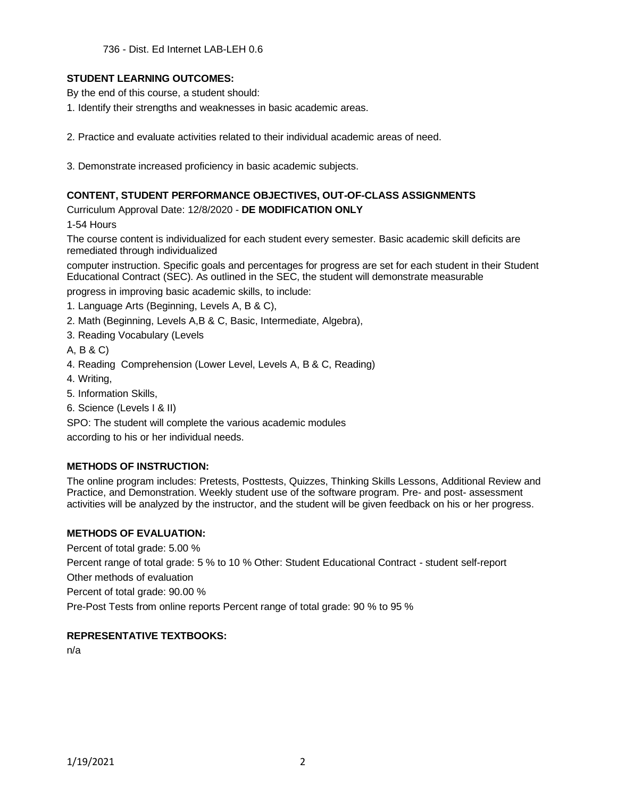736 - Dist. Ed Internet LAB-LEH 0.6

### **STUDENT LEARNING OUTCOMES:**

By the end of this course, a student should:

- 1. Identify their strengths and weaknesses in basic academic areas.
- 2. Practice and evaluate activities related to their individual academic areas of need.
- 3. Demonstrate increased proficiency in basic academic subjects.

#### **CONTENT, STUDENT PERFORMANCE OBJECTIVES, OUT-OF-CLASS ASSIGNMENTS**

Curriculum Approval Date: 12/8/2020 - **DE MODIFICATION ONLY**

1-54 Hours

The course content is individualized for each student every semester. Basic academic skill deficits are remediated through individualized

computer instruction. Specific goals and percentages for progress are set for each student in their Student Educational Contract (SEC). As outlined in the SEC, the student will demonstrate measurable

progress in improving basic academic skills, to include:

- 1. Language Arts (Beginning, Levels A, B & C),
- 2. Math (Beginning, Levels A,B & C, Basic, Intermediate, Algebra),
- 3. Reading Vocabulary (Levels
- A, B & C)
- 4. Reading Comprehension (Lower Level, Levels A, B & C, Reading)
- 4. Writing,
- 5. Information Skills,
- 6. Science (Levels I & II)

SPO: The student will complete the various academic modules

according to his or her individual needs.

### **METHODS OF INSTRUCTION:**

The online program includes: Pretests, Posttests, Quizzes, Thinking Skills Lessons, Additional Review and Practice, and Demonstration. Weekly student use of the software program. Pre- and post- assessment activities will be analyzed by the instructor, and the student will be given feedback on his or her progress.

### **METHODS OF EVALUATION:**

Percent of total grade: 5.00 % Percent range of total grade: 5 % to 10 % Other: Student Educational Contract - student self-report Other methods of evaluation Percent of total grade: 90.00 % Pre-Post Tests from online reports Percent range of total grade: 90 % to 95 %

### **REPRESENTATIVE TEXTBOOKS:**

n/a